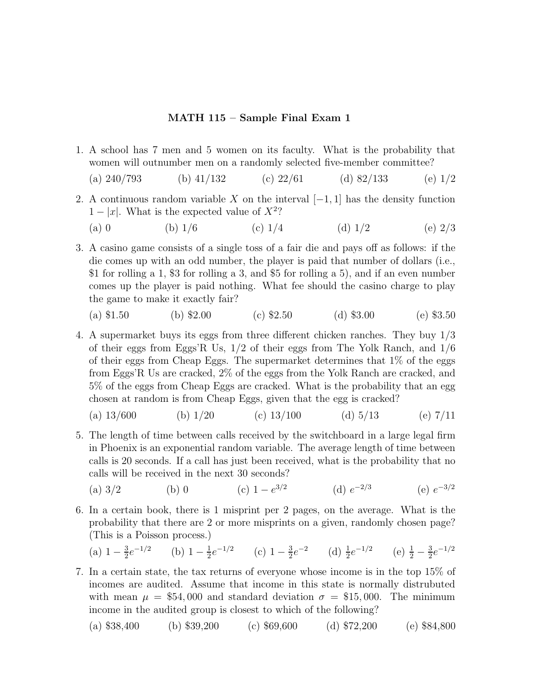## **MATH 115 – Sample Final Exam 1**

- 1. A school has 7 men and 5 women on its faculty. What is the probability that women will outnumber men on a randomly selected five-member committee?
	- (a)  $240/793$  (b)  $41/132$  (c)  $22/61$  (d)  $82/133$  (e)  $1/2$
- 2. A continuous random variable X on the interval  $[-1, 1]$  has the density function  $1 - |x|$ . What is the expected value of  $X^2$ ?
	- (a) 0 (b)  $1/6$  (c)  $1/4$  (d)  $1/2$  (e)  $2/3$
- 3. A casino game consists of a single toss of a fair die and pays off as follows: if the die comes up with an odd number, the player is paid that number of dollars (i.e., \$1 for rolling a 1, \$3 for rolling a 3, and \$5 for rolling a 5), and if an even number comes up the player is paid nothing. What fee should the casino charge to play the game to make it exactly fair?

(a) \$1.50 (b) \$2.00 (c) \$2.50 (d) \$3.00 (e) \$3.50

4. A supermarket buys its eggs from three different chicken ranches. They buy 1/3 of their eggs from Eggs'R Us,  $1/2$  of their eggs from The Yolk Ranch, and  $1/6$ of their eggs from Cheap Eggs. The supermarket determines that 1% of the eggs from Eggs'R Us are cracked, 2% of the eggs from the Yolk Ranch are cracked, and 5% of the eggs from Cheap Eggs are cracked. What is the probability that an egg chosen at random is from Cheap Eggs, given that the egg is cracked?

(a) 
$$
13/600
$$
 (b)  $1/20$  (c)  $13/100$  (d)  $5/13$  (e)  $7/11$ 

- 5. The length of time between calls received by the switchboard in a large legal firm in Phoenix is an exponential random variable. The average length of time between calls is 20 seconds. If a call has just been received, what is the probability that no calls will be received in the next 30 seconds?
	- (a)  $3/2$  (b) 0 (c)  $1 e^{3/2}$  (d)  $e^{-2/3}$  (e)  $e^{-3/2}$
- 6. In a certain book, there is 1 misprint per 2pages, on the average. What is the probability that there are 2or more misprints on a given, randomly chosen page? (This is a Poisson process.)

(a) 
$$
1 - \frac{3}{2}e^{-1/2}
$$
 (b)  $1 - \frac{1}{2}e^{-1/2}$  (c)  $1 - \frac{3}{2}e^{-2}$  (d)  $\frac{1}{2}e^{-1/2}$  (e)  $\frac{1}{2} - \frac{3}{2}e^{-1/2}$ 

7. In a certain state, the tax returns of everyone whose income is in the top 15% of incomes are audited. Assume that income in this state is normally distrubuted with mean  $\mu = $54,000$  and standard deviation  $\sigma = $15,000$ . The minimum income in the audited group is closest to which of the following?

(a) \$38,400 (b) \$39,200 (c) \$69,600 (d) \$72,200 (e) \$84,800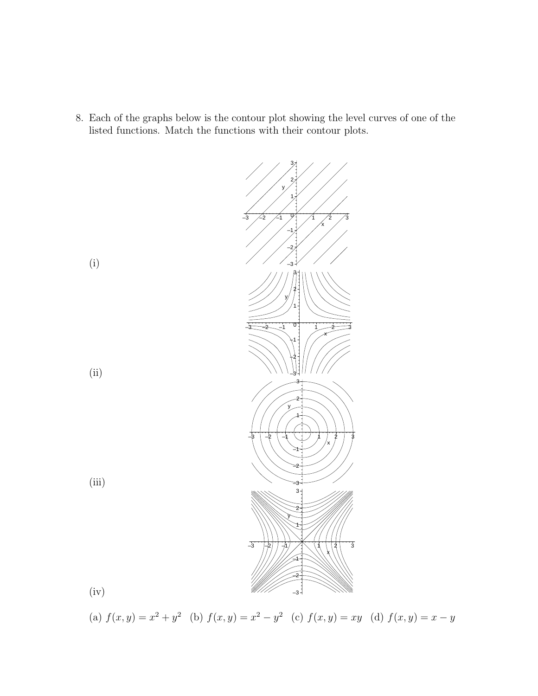8. Each of the graphs below is the contour plot showing the level curves of one of the listed functions. Match the functions with their contour plots.



(a)  $f(x, y) = x^2 + y^2$  (b)  $f(x, y) = x^2 - y^2$  (c)  $f(x, y) = xy$  (d)  $f(x, y) = x - y$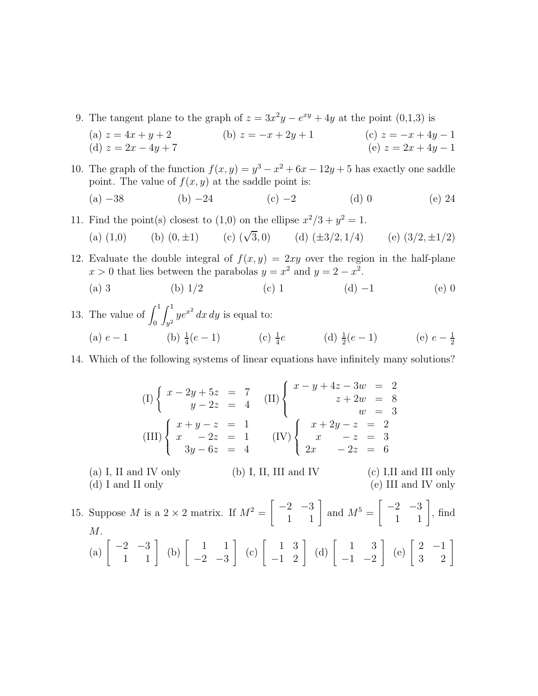9. The tangent plane to the graph of  $z = 3x^2y - e^{xy} + 4y$  at the point (0,1,3) is

(a) 
$$
z = 4x + y + 2
$$
  
\n(b)  $z = -x + 2y + 1$   
\n(c)  $z = -x + 4y - 1$   
\n(e)  $z = 2x + 4y - 1$   
\n(f)  $z = 2x - 4y + 7$ 

10. The graph of the function  $f(x, y) = y^3 - x^2 + 6x - 12y + 5$  has exactly one saddle point. The value of  $f(x, y)$  at the saddle point is:

(a) 
$$
-38
$$
 (b)  $-24$  (c)  $-2$  (d) 0 (e) 24

11. Find the point(s) closest to (1,0) on the ellipse  $x^2/3 + y^2 = 1$ .

(a) (1,0) (b) (0, 
$$
\pm 1
$$
) (c) ( $\sqrt{3}$ , 0) (d) ( $\pm 3/2$ , 1/4) (e) (3/2,  $\pm 1/2$ )

12. Evaluate the double integral of  $f(x, y)=2xy$  over the region in the half-plane  $x > 0$  that lies between the parabolas  $y = x^2$  and  $y = 2 - x^2$ .

- (a) 3 (b)  $1/2$  (c) 1 (d) −1 (e) 0
- 13. The value of  $\int_0^1$  $\int_0^1$ *y*2  $ye^{x^2} dx dy$  is equal to: (a)  $e-1$  (b)  $\frac{1}{4}(e-1)$  (c)  $\frac{1}{4}e$  (d)  $\frac{1}{2}(e-1)$  (e)  $e-\frac{1}{2}$
- 14. Which of the following systems of linear equations have infinitely many solutions?

$$
(I) \begin{cases} x - 2y + 5z = 7 \\ y - 2z = 4 \end{cases} (II) \begin{cases} x - y + 4z - 3w = 2 \\ z + 2w = 8 \\ w = 3 \end{cases}
$$

$$
(III) \begin{cases} x + y - z = 1 \\ x - 2z = 1 \\ 3y - 6z = 4 \end{cases} (IV) \begin{cases} x + 2y - z = 2 \\ x - z = 3 \\ 2x - 2z = 6 \end{cases}
$$

(a) I, II and IV only (b) I, II, III and IV (c) I,II and III only (d) I and II only (e) III and IV only

15. Suppose *M* is a 2 × 2 matrix. If  $M^2 = \begin{bmatrix} -2 & -3 \\ 1 & 1 \end{bmatrix}$  and  $M^5 = \begin{bmatrix} -2 & -3 \\ 1 & 1 \end{bmatrix}$ , find M. (a)  $\begin{bmatrix} -2 & -3 \\ 1 & 1 \end{bmatrix}$  (b)  $\begin{bmatrix} 1 & 1 \\ -2 & -3 \end{bmatrix}$  $-2$   $-3$  $\begin{bmatrix} 1 & 3 \\ -1 & 2 \end{bmatrix}$  (d)  $\begin{bmatrix} 1 & 3 \\ -1 & -2 \end{bmatrix}$  $-1$   $-2$  $\begin{bmatrix} 2 & -1 \\ 3 & 2 \end{bmatrix}$